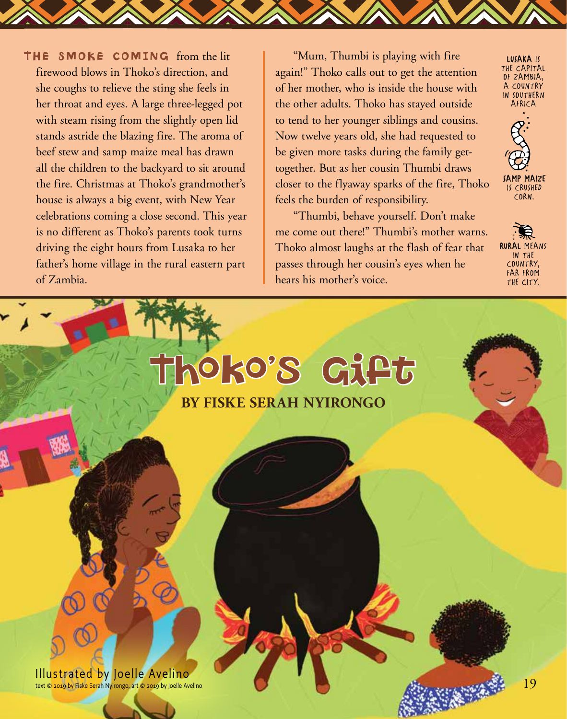THE SMOKE COMING from the lit firewood blows in Thoko's direction, and she coughs to relieve the sting she feels in her throat and eyes. A large three-legged pot with steam rising from the slightly open lid stands astride the blazing fire. The aroma of beef stew and samp maize meal has drawn all the children to the backyard to sit around the fire. Christmas at Thoko's grandmother's house is always a big event, with New Year celebrations coming a close second. This year is no different as Thoko's parents took turns driving the eight hours from Lusaka to her father's home village in the rural eastern part of Zambia.

"Mum, Thumbi is playing with fire again!" Thoko calls out to get the attention of her mother, who is inside the house with the other adults. Thoko has stayed outside to tend to her younger siblings and cousins. Now twelve years old, she had requested to be given more tasks during the family gettogether. But as her cousin Thumbi draws closer to the flyaway sparks of the fire, Thoko feels the burden of responsibility.

"Thumbi, behave yourself. Don't make me come out there!" Thumbi's mother warns. Thoko almost laughs at the flash of fear that passes through her cousin's eyes when he hears his mother's voice.

**BY FISKE SERAH NYIRONGO**

Thoko's Gift

LUSAKA IS THE CAPITAL OF ZAMBIA, A COUNTRY IN SOUTHERN AFRICA



CORN.

RURAL MEANS IN THE COUNTRY, FAR FROM THE CITY.

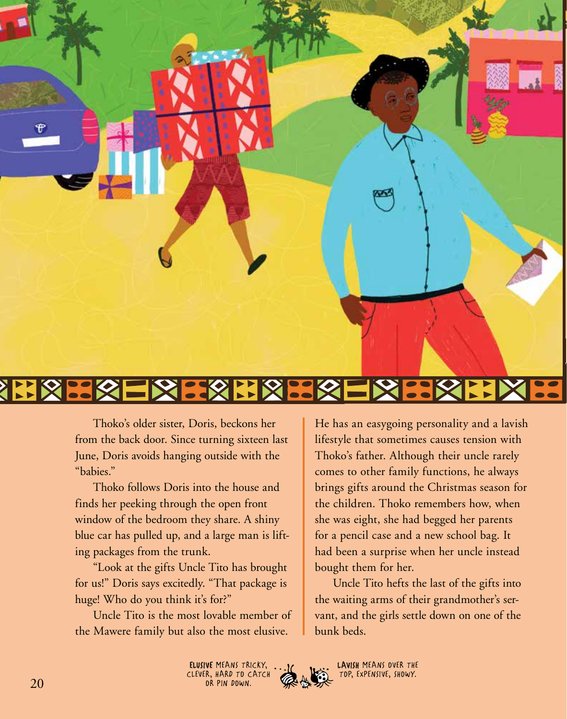

## **BEX EXXILE CSE**

Thoko's older sister, Doris, beckons her from the back door. Since turning sixteen last June, Doris avoids hanging outside with the "babies."

Thoko follows Doris into the house and finds her peeking through the open front window of the bedroom they share. A shiny blue car has pulled up, and a large man is lifting packages from the trunk.

"Look at the gifts Uncle Tito has brought for us!" Doris says excitedly. "That package is huge! Who do you think it's for?"

Uncle Tito is the most lovable member of the Mawere family but also the most elusive.

He has an easygoing personality and a lavish lifestyle that sometimes causes tension with Thoko's father. Although their uncle rarely comes to other family functions, he always brings gifts around the Christmas season for the children. Thoko remembers how, when she was eight, she had begged her parents for a pencil case and a new school bag. It had been a surprise when her uncle instead bought them for her.

Uncle Tito hefts the last of the gifts into the waiting arms of their grandmother's servant, and the girls settle down on one of the bunk beds.



LAVISH MEANS OVER THE TOP, EXPENSIVE, SHOWY.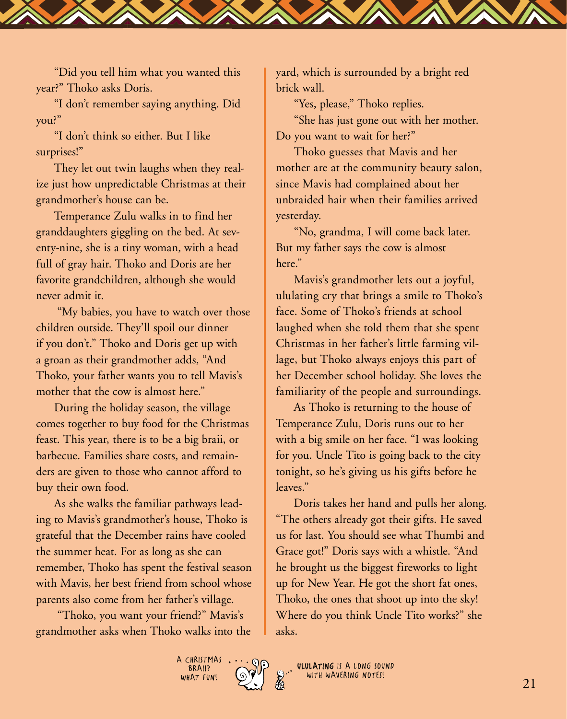"Did you tell him what you wanted this year?" Thoko asks Doris.

"I don't remember saying anything. Did you?"

"I don't think so either. But I like surprises!"

They let out twin laughs when they realize just how unpredictable Christmas at their grandmother's house can be.

Temperance Zulu walks in to find her granddaughters giggling on the bed. At seventy-nine, she is a tiny woman, with a head full of gray hair. Thoko and Doris are her favorite grandchildren, although she would never admit it.

 "My babies, you have to watch over those children outside. They'll spoil our dinner if you don't." Thoko and Doris get up with a groan as their grandmother adds, "And Thoko, your father wants you to tell Mavis's mother that the cow is almost here."

During the holiday season, the village comes together to buy food for the Christmas feast. This year, there is to be a big braii, or barbecue. Families share costs, and remainders are given to those who cannot afford to buy their own food.

As she walks the familiar pathways leading to Mavis's grandmother's house, Thoko is grateful that the December rains have cooled the summer heat. For as long as she can remember, Thoko has spent the festival season with Mavis, her best friend from school whose parents also come from her father's village.

 "Thoko, you want your friend?" Mavis's grandmother asks when Thoko walks into the yard, which is surrounded by a bright red brick wall.

"Yes, please," Thoko replies.

"She has just gone out with her mother. Do you want to wait for her?"

Thoko guesses that Mavis and her mother are at the community beauty salon, since Mavis had complained about her unbraided hair when their families arrived yesterday.

"No, grandma, I will come back later. But my father says the cow is almost here."

Mavis's grandmother lets out a joyful, ululating cry that brings a smile to Thoko's face. Some of Thoko's friends at school laughed when she told them that she spent Christmas in her father's little farming village, but Thoko always enjoys this part of her December school holiday. She loves the familiarity of the people and surroundings.

As Thoko is returning to the house of Temperance Zulu, Doris runs out to her with a big smile on her face. "I was looking for you. Uncle Tito is going back to the city tonight, so he's giving us his gifts before he leaves."

Doris takes her hand and pulls her along. "The others already got their gifts. He saved us for last. You should see what Thumbi and Grace got!" Doris says with a whistle. "And he brought us the biggest fireworks to light up for New Year. He got the short fat ones, Thoko, the ones that shoot up into the sky! Where do you think Uncle Tito works?" she asks.



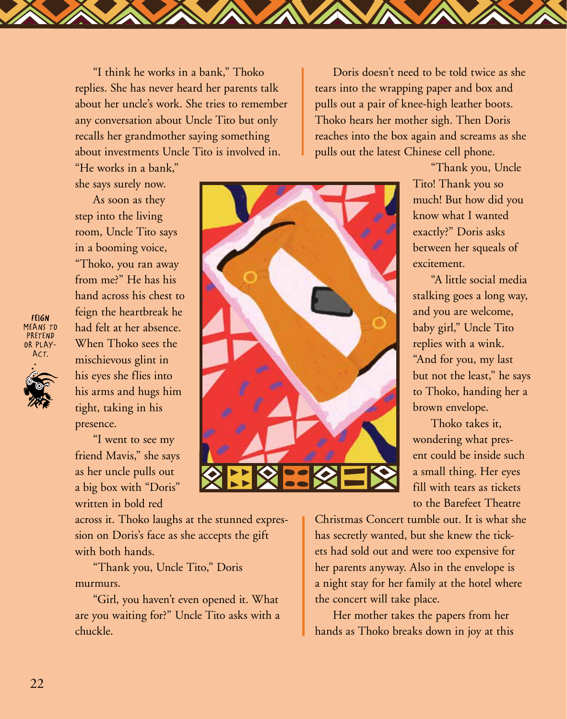"I think he works in a bank," Thoko replies. She has never heard her parents talk about her uncle's work. She tries to remember any conversation about Uncle Tito but only recalls her grandmother saying something about investments Uncle Tito is involved in.

"He works in a bank," she says surely now.

As soon as they step into the living room, Uncle Tito says in a booming voice, "Thoko, you ran away from me?" He has his hand across his chest to feign the heartbreak he had felt at her absence. When Thoko sees the mischievous glint in his eyes she flies into his arms and hugs him tight, taking in his presence.

"I went to see my friend Mavis," she says as her uncle pulls out a big box with "Doris" written in bold red

across it. Thoko laughs at the stunned expression on Doris's face as she accepts the gift with both hands.

"Thank you, Uncle Tito," Doris murmurs.

"Girl, you haven't even opened it. What are you waiting for?" Uncle Tito asks with a chuckle.

Doris doesn't need to be told twice as she tears into the wrapping paper and box and pulls out a pair of knee-high leather boots. Thoko hears her mother sigh. Then Doris reaches into the box again and screams as she pulls out the latest Chinese cell phone.

"Thank you, Uncle Tito! Thank you so much! But how did you know what I wanted exactly?" Doris asks between her squeals of excitement.

"A little social media stalking goes a long way, and you are welcome, baby girl," Uncle Tito replies with a wink. "And for you, my last but not the least," he says to Thoko, handing her a brown envelope.

Thoko takes it, wondering what present could be inside such a small thing. Her eyes fill with tears as tickets to the Barefeet Theatre

Christmas Concert tumble out. It is what she has secretly wanted, but she knew the tickets had sold out and were too expensive for her parents anyway. Also in the envelope is a night stay for her family at the hotel where the concert will take place.

Her mother takes the papers from her hands as Thoko breaks down in joy at this

FEIGN